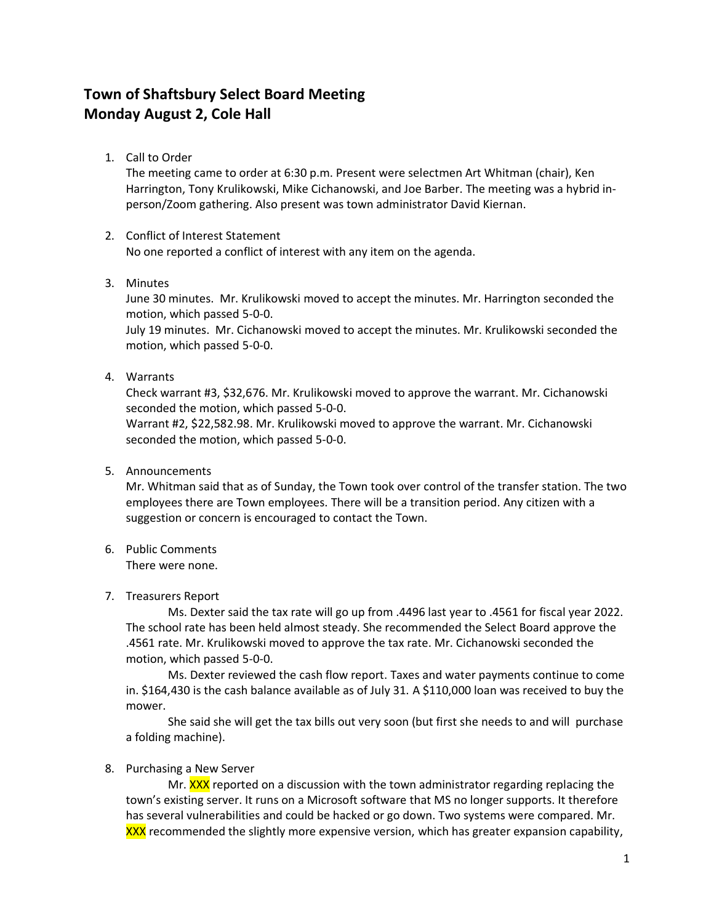# **Town of Shaftsbury Select Board Meeting Monday August 2, Cole Hall**

1. Call to Order

The meeting came to order at 6:30 p.m. Present were selectmen Art Whitman (chair), Ken Harrington, Tony Krulikowski, Mike Cichanowski, and Joe Barber. The meeting was a hybrid inperson/Zoom gathering. Also present was town administrator David Kiernan.

## 2. Conflict of Interest Statement

No one reported a conflict of interest with any item on the agenda.

3. Minutes

June 30 minutes. Mr. Krulikowski moved to accept the minutes. Mr. Harrington seconded the motion, which passed 5-0-0.

July 19 minutes. Mr. Cichanowski moved to accept the minutes. Mr. Krulikowski seconded the motion, which passed 5-0-0.

4. Warrants

Check warrant #3, \$32,676. Mr. Krulikowski moved to approve the warrant. Mr. Cichanowski seconded the motion, which passed 5-0-0.

Warrant #2, \$22,582.98. Mr. Krulikowski moved to approve the warrant. Mr. Cichanowski seconded the motion, which passed 5-0-0.

5. Announcements

Mr. Whitman said that as of Sunday, the Town took over control of the transfer station. The two employees there are Town employees. There will be a transition period. Any citizen with a suggestion or concern is encouraged to contact the Town.

6. Public Comments There were none.

## 7. Treasurers Report

Ms. Dexter said the tax rate will go up from .4496 last year to .4561 for fiscal year 2022. The school rate has been held almost steady. She recommended the Select Board approve the .4561 rate. Mr. Krulikowski moved to approve the tax rate. Mr. Cichanowski seconded the motion, which passed 5-0-0.

Ms. Dexter reviewed the cash flow report. Taxes and water payments continue to come in. \$164,430 is the cash balance available as of July 31. A \$110,000 loan was received to buy the mower.

She said she will get the tax bills out very soon (but first she needs to and will purchase a folding machine).

## 8. Purchasing a New Server

Mr. XXX reported on a discussion with the town administrator regarding replacing the town's existing server. It runs on a Microsoft software that MS no longer supports. It therefore has several vulnerabilities and could be hacked or go down. Two systems were compared. Mr. XXX recommended the slightly more expensive version, which has greater expansion capability,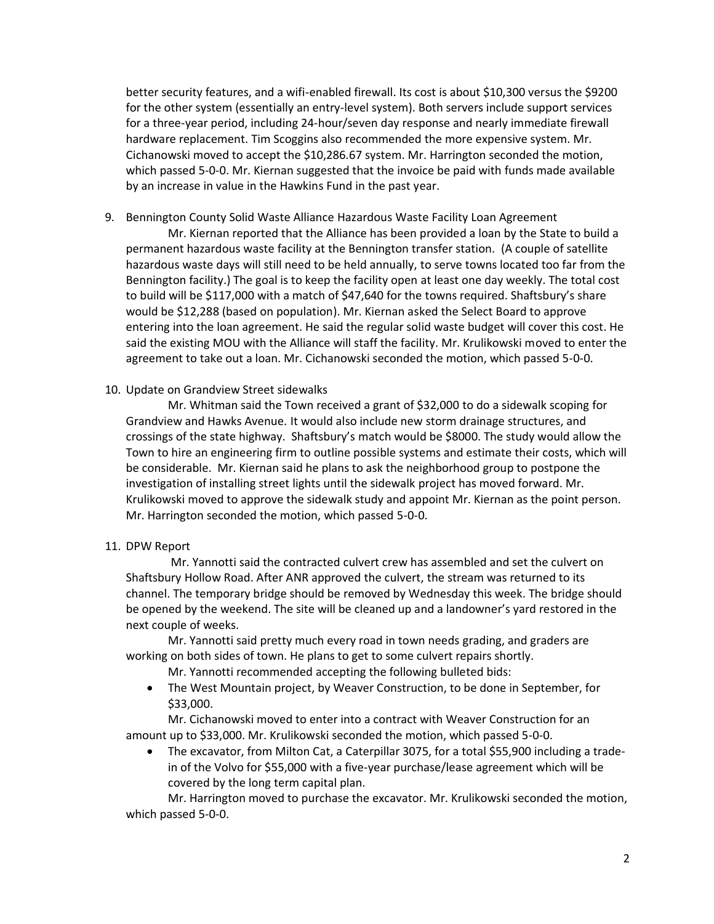better security features, and a wifi-enabled firewall. Its cost is about \$10,300 versus the \$9200 for the other system (essentially an entry-level system). Both servers include support services for a three-year period, including 24-hour/seven day response and nearly immediate firewall hardware replacement. Tim Scoggins also recommended the more expensive system. Mr. Cichanowski moved to accept the \$10,286.67 system. Mr. Harrington seconded the motion, which passed 5-0-0. Mr. Kiernan suggested that the invoice be paid with funds made available by an increase in value in the Hawkins Fund in the past year.

9. Bennington County Solid Waste Alliance Hazardous Waste Facility Loan Agreement

Mr. Kiernan reported that the Alliance has been provided a loan by the State to build a permanent hazardous waste facility at the Bennington transfer station. (A couple of satellite hazardous waste days will still need to be held annually, to serve towns located too far from the Bennington facility.) The goal is to keep the facility open at least one day weekly. The total cost to build will be \$117,000 with a match of \$47,640 for the towns required. Shaftsbury's share would be \$12,288 (based on population). Mr. Kiernan asked the Select Board to approve entering into the loan agreement. He said the regular solid waste budget will cover this cost. He said the existing MOU with the Alliance will staff the facility. Mr. Krulikowski moved to enter the agreement to take out a loan. Mr. Cichanowski seconded the motion, which passed 5-0-0.

### 10. Update on Grandview Street sidewalks

Mr. Whitman said the Town received a grant of \$32,000 to do a sidewalk scoping for Grandview and Hawks Avenue. It would also include new storm drainage structures, and crossings of the state highway. Shaftsbury's match would be \$8000. The study would allow the Town to hire an engineering firm to outline possible systems and estimate their costs, which will be considerable. Mr. Kiernan said he plans to ask the neighborhood group to postpone the investigation of installing street lights until the sidewalk project has moved forward. Mr. Krulikowski moved to approve the sidewalk study and appoint Mr. Kiernan as the point person. Mr. Harrington seconded the motion, which passed 5-0-0.

## 11. DPW Report

Mr. Yannotti said the contracted culvert crew has assembled and set the culvert on Shaftsbury Hollow Road. After ANR approved the culvert, the stream was returned to its channel. The temporary bridge should be removed by Wednesday this week. The bridge should be opened by the weekend. The site will be cleaned up and a landowner's yard restored in the next couple of weeks.

Mr. Yannotti said pretty much every road in town needs grading, and graders are working on both sides of town. He plans to get to some culvert repairs shortly.

Mr. Yannotti recommended accepting the following bulleted bids:

• The West Mountain project, by Weaver Construction, to be done in September, for \$33,000.

Mr. Cichanowski moved to enter into a contract with Weaver Construction for an amount up to \$33,000. Mr. Krulikowski seconded the motion, which passed 5-0-0.

• The excavator, from Milton Cat, a Caterpillar 3075, for a total \$55,900 including a tradein of the Volvo for \$55,000 with a five-year purchase/lease agreement which will be covered by the long term capital plan.

Mr. Harrington moved to purchase the excavator. Mr. Krulikowski seconded the motion, which passed 5-0-0.